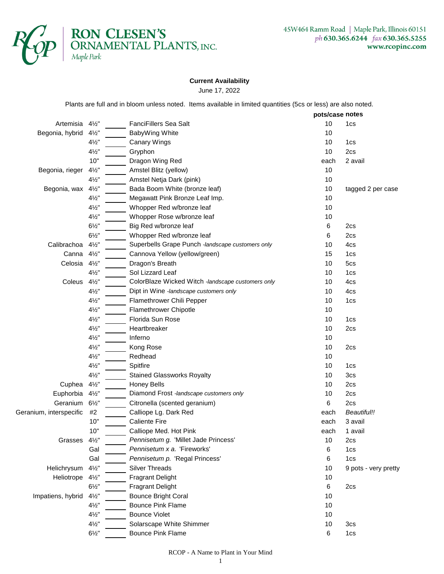

## **Current Availability**

June 17, 2022

Plants are full and in bloom unless noted. Items available in limited quantities (5cs or less) are also noted.

|                         |                  |                                                   |      | pots/case notes      |  |
|-------------------------|------------------|---------------------------------------------------|------|----------------------|--|
| Artemisia               | $4\frac{1}{2}$   | FanciFillers Sea Salt                             | 10   | 1cs                  |  |
| Begonia, hybrid         | $4\frac{1}{2}$ " | BabyWing White                                    | 10   |                      |  |
|                         | $4\frac{1}{2}$ " | <b>Canary Wings</b>                               | 10   | 1cs                  |  |
|                         | $4\frac{1}{2}$ " | Gryphon                                           | 10   | 2cs                  |  |
|                         | 10"              | Dragon Wing Red                                   | each | 2 avail              |  |
| Begonia, rieger         | $4\frac{1}{2}$   | Amstel Blitz (yellow)                             | 10   |                      |  |
|                         | $4\frac{1}{2}$ " | Amstel Netja Dark (pink)                          | 10   |                      |  |
| Begonia, wax            | $4\frac{1}{2}$ " | Bada Boom White (bronze leaf)                     | 10   | tagged 2 per case    |  |
|                         | $4\frac{1}{2}$ " | Megawatt Pink Bronze Leaf Imp.                    | 10   |                      |  |
|                         | $4\frac{1}{2}$ " | Whopper Red w/bronze leaf                         | 10   |                      |  |
|                         | $4\frac{1}{2}$ " | Whopper Rose w/bronze leaf                        | 10   |                      |  |
|                         | $6\frac{1}{2}$ " | Big Red w/bronze leaf                             | 6    | 2cs                  |  |
|                         | $6\frac{1}{2}$ " | Whopper Red w/bronze leaf                         | 6    | 2cs                  |  |
| Calibrachoa             | $4\frac{1}{2}$   | Superbells Grape Punch -landscape customers only  | 10   | 4cs                  |  |
| Canna                   | $4\frac{1}{2}$   | Cannova Yellow (yellow/green)                     | 15   | 1cs                  |  |
| Celosia                 | $4\frac{1}{2}$   | Dragon's Breath                                   | 10   | 5cs                  |  |
|                         | $4\frac{1}{2}$ " | Sol Lizzard Leaf                                  | 10   | 1cs                  |  |
| Coleus                  | $4\frac{1}{2}$ " | ColorBlaze Wicked Witch -landscape customers only | 10   | 4cs                  |  |
|                         | $4\frac{1}{2}$ " | Dipt in Wine -landscape customers only            | 10   | 4cs                  |  |
|                         | $4\frac{1}{2}$ " | Flamethrower Chili Pepper                         | 10   | 1cs                  |  |
|                         | $4\frac{1}{2}$ " | Flamethrower Chipotle                             | 10   |                      |  |
|                         | $4\frac{1}{2}$ " | Florida Sun Rose                                  | 10   | 1cs                  |  |
|                         | $4\frac{1}{2}$ " | Heartbreaker                                      | 10   | 2cs                  |  |
|                         | $4\frac{1}{2}$ " | Inferno                                           | 10   |                      |  |
|                         | $4\frac{1}{2}$ " | Kong Rose                                         | 10   | 2cs                  |  |
|                         | $4\frac{1}{2}$ " | Redhead                                           | 10   |                      |  |
|                         | $4\frac{1}{2}$ " | Spitfire                                          | 10   | 1cs                  |  |
|                         | $4\frac{1}{2}$ " | <b>Stained Glassworks Royalty</b>                 | 10   | 3cs                  |  |
| Cuphea                  | $4\frac{1}{2}$ " | <b>Honey Bells</b>                                | 10   | 2cs                  |  |
| Euphorbia               | $4\frac{1}{2}$ " | Diamond Frost -landscape customers only           | 10   | 2cs                  |  |
| Geranium                | $6\frac{1}{2}$   | Citronella (scented geranium)                     | 6    | 2cs                  |  |
| Geranium, interspecific | #2               | Calliope Lg. Dark Red                             | each | Beautiful!!          |  |
|                         | 10"              | <b>Caliente Fire</b>                              | each | 3 avail              |  |
|                         | 10"              | Calliope Med. Hot Pink                            | each | 1 avail              |  |
| Grasses 41/2"           |                  | Pennisetum g. 'Millet Jade Princess'              | 10   | 2cs                  |  |
|                         | Gal              | Pennisetum x a. 'Fireworks'                       | 6    | 1cs                  |  |
|                         | Gal              | Pennisetum p. 'Regal Princess'                    | 6    | 1cs                  |  |
| Helichrysum             | $4\frac{1}{2}$ " | <b>Silver Threads</b>                             | 10   | 9 pots - very pretty |  |
| Heliotrope              | $4\frac{1}{2}$ " | <b>Fragrant Delight</b>                           | 10   |                      |  |
|                         | $6\frac{1}{2}$ " | <b>Fragrant Delight</b>                           | 6    | 2cs                  |  |
|                         |                  | <b>Bounce Bright Coral</b>                        |      |                      |  |
| Impatiens, hybrid       | $4\frac{1}{2}$ " |                                                   | 10   |                      |  |
|                         | $4\frac{1}{2}$ " | <b>Bounce Pink Flame</b>                          | 10   |                      |  |
|                         | $4\frac{1}{2}$ " | <b>Bounce Violet</b>                              | 10   |                      |  |
|                         | $4\frac{1}{2}$ " | Solarscape White Shimmer                          | 10   | 3 <sub>cs</sub>      |  |
|                         | $6\frac{1}{2}$ " | <b>Bounce Pink Flame</b>                          | 6    | 1cs                  |  |